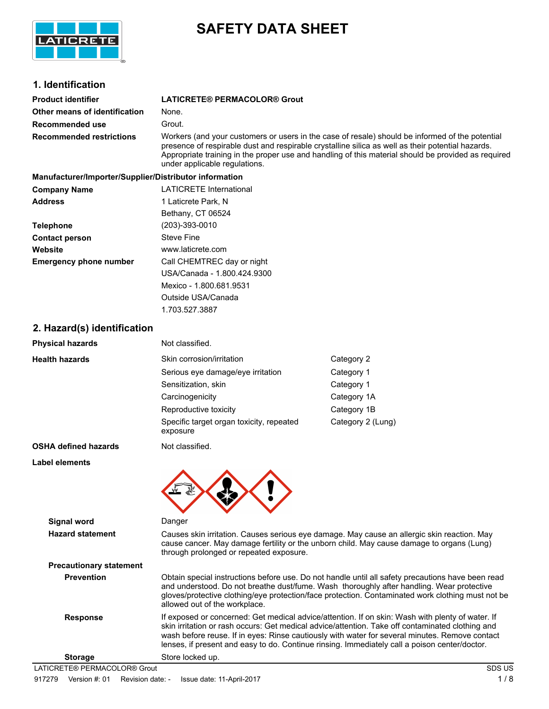

# **SAFETY DATA SHEET**

# **1. Identification**

| <b>Product identifier</b>       | LATICRETE® PERMACOLOR® Grout                                                                                                                                                                                                                                                                                                                 |
|---------------------------------|----------------------------------------------------------------------------------------------------------------------------------------------------------------------------------------------------------------------------------------------------------------------------------------------------------------------------------------------|
| Other means of identification   | None.                                                                                                                                                                                                                                                                                                                                        |
| Recommended use                 | Grout.                                                                                                                                                                                                                                                                                                                                       |
| <b>Recommended restrictions</b> | Workers (and your customers or users in the case of resale) should be informed of the potential<br>presence of respirable dust and respirable crystalline silica as well as their potential hazards.<br>Appropriate training in the proper use and handling of this material should be provided as required<br>under applicable regulations. |

| Manufacturer/Importer/Supplier/Distributor information |                                |
|--------------------------------------------------------|--------------------------------|
| <b>Company Name</b>                                    | <b>LATICRETE International</b> |
| <b>Address</b>                                         | 1 Laticrete Park, N            |
|                                                        | Bethany, CT 06524              |
| <b>Telephone</b>                                       | (203)-393-0010                 |
| <b>Contact person</b>                                  | <b>Steve Fine</b>              |
| Website                                                | www.laticrete.com              |
| <b>Emergency phone number</b>                          | Call CHEMTREC day or night     |
|                                                        | USA/Canada - 1.800.424.9300    |
|                                                        | Mexico - 1.800.681.9531        |
|                                                        | Outside USA/Canada             |

1.703.527.3887

#### **2. Hazard(s) identification**

| <b>Physical hazards</b>        | Not classified.                                                                                                                                                                                                                                                                                                                                                                                         |                   |
|--------------------------------|---------------------------------------------------------------------------------------------------------------------------------------------------------------------------------------------------------------------------------------------------------------------------------------------------------------------------------------------------------------------------------------------------------|-------------------|
| <b>Health hazards</b>          | Skin corrosion/irritation                                                                                                                                                                                                                                                                                                                                                                               | Category 2        |
|                                | Serious eye damage/eye irritation                                                                                                                                                                                                                                                                                                                                                                       | Category 1        |
|                                | Sensitization, skin                                                                                                                                                                                                                                                                                                                                                                                     | Category 1        |
|                                | Carcinogenicity                                                                                                                                                                                                                                                                                                                                                                                         | Category 1A       |
|                                | Reproductive toxicity                                                                                                                                                                                                                                                                                                                                                                                   | Category 1B       |
|                                | Specific target organ toxicity, repeated<br>exposure                                                                                                                                                                                                                                                                                                                                                    | Category 2 (Lung) |
| <b>OSHA defined hazards</b>    | Not classified.                                                                                                                                                                                                                                                                                                                                                                                         |                   |
| <b>Label elements</b>          |                                                                                                                                                                                                                                                                                                                                                                                                         |                   |
| Signal word                    | Danger                                                                                                                                                                                                                                                                                                                                                                                                  |                   |
| <b>Hazard statement</b>        | Causes skin irritation. Causes serious eye damage. May cause an allergic skin reaction. May<br>cause cancer. May damage fertility or the unborn child. May cause damage to organs (Lung)<br>through prolonged or repeated exposure.                                                                                                                                                                     |                   |
| <b>Precautionary statement</b> |                                                                                                                                                                                                                                                                                                                                                                                                         |                   |
| <b>Prevention</b>              | Obtain special instructions before use. Do not handle until all safety precautions have been read<br>and understood. Do not breathe dust/fume. Wash thoroughly after handling. Wear protective<br>gloves/protective clothing/eye protection/face protection. Contaminated work clothing must not be<br>allowed out of the workplace.                                                                    |                   |
| <b>Response</b>                | If exposed or concerned: Get medical advice/attention. If on skin: Wash with plenty of water. If<br>skin irritation or rash occurs: Get medical advice/attention. Take off contaminated clothing and<br>wash before reuse. If in eyes: Rinse cautiously with water for several minutes. Remove contact<br>lenses, if present and easy to do. Continue rinsing. Immediately call a poison center/doctor. |                   |

**Storage** Store locked up.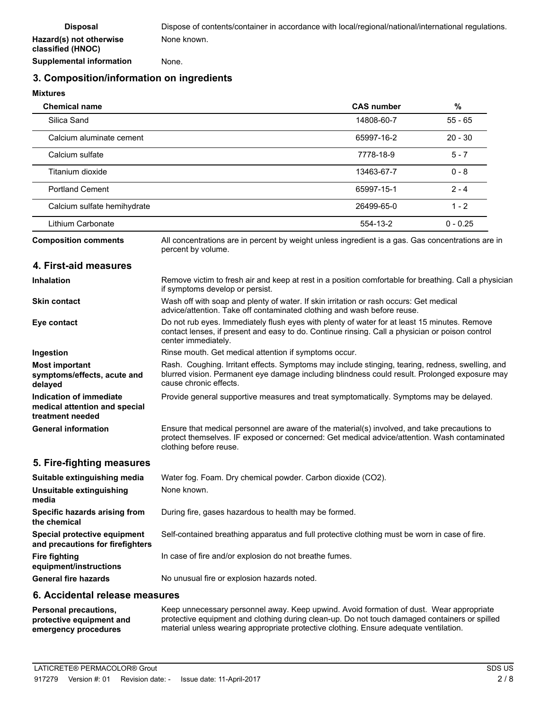## **3. Composition/information on ingredients**

**Mixtures**

| <b>Chemical name</b>        | <b>CAS number</b> | %          |  |
|-----------------------------|-------------------|------------|--|
| Silica Sand                 | 14808-60-7        | $55 - 65$  |  |
| Calcium aluminate cement    | 65997-16-2        | $20 - 30$  |  |
| Calcium sulfate             | 7778-18-9         | $5 - 7$    |  |
| Titanium dioxide            | 13463-67-7        | $0 - 8$    |  |
| <b>Portland Cement</b>      | 65997-15-1        | $2 - 4$    |  |
| Calcium sulfate hemihydrate | 26499-65-0        | $1 - 2$    |  |
| Lithium Carbonate           | 554-13-2          | $0 - 0.25$ |  |

**Composition comments**

All concentrations are in percent by weight unless ingredient is a gas. Gas concentrations are in percent by volume.

#### **4. First-aid measures**

| <b>Inhalation</b>                                                            | Remove victim to fresh air and keep at rest in a position comfortable for breathing. Call a physician<br>if symptoms develop or persist.                                                                                    |  |
|------------------------------------------------------------------------------|-----------------------------------------------------------------------------------------------------------------------------------------------------------------------------------------------------------------------------|--|
| <b>Skin contact</b>                                                          | Wash off with soap and plenty of water. If skin irritation or rash occurs: Get medical<br>advice/attention. Take off contaminated clothing and wash before reuse.                                                           |  |
| Eye contact                                                                  | Do not rub eyes. Immediately flush eyes with plenty of water for at least 15 minutes. Remove<br>contact lenses, if present and easy to do. Continue rinsing. Call a physician or poison control<br>center immediately.      |  |
| Ingestion                                                                    | Rinse mouth. Get medical attention if symptoms occur.                                                                                                                                                                       |  |
| <b>Most important</b><br>symptoms/effects, acute and<br>delayed              | Rash. Coughing. Irritant effects. Symptoms may include stinging, tearing, redness, swelling, and<br>blurred vision. Permanent eye damage including blindness could result. Prolonged exposure may<br>cause chronic effects. |  |
| Indication of immediate<br>medical attention and special<br>treatment needed | Provide general supportive measures and treat symptomatically. Symptoms may be delayed.                                                                                                                                     |  |
| <b>General information</b>                                                   | Ensure that medical personnel are aware of the material(s) involved, and take precautions to<br>protect themselves. IF exposed or concerned: Get medical advice/attention. Wash contaminated<br>clothing before reuse.      |  |

#### **5. Fire-fighting measures**

| Suitable extinguishing media                                     | Water fog. Foam. Dry chemical powder. Carbon dioxide (CO2).                                   |
|------------------------------------------------------------------|-----------------------------------------------------------------------------------------------|
| Unsuitable extinguishing<br>media                                | None known.                                                                                   |
| Specific hazards arising from<br>the chemical                    | During fire, gases hazardous to health may be formed.                                         |
| Special protective equipment<br>and precautions for firefighters | Self-contained breathing apparatus and full protective clothing must be worn in case of fire. |
| <b>Fire fighting</b><br>equipment/instructions                   | In case of fire and/or explosion do not breathe fumes.                                        |
| <b>General fire hazards</b>                                      | No unusual fire or explosion hazards noted.                                                   |

#### **6. Accidental release measures**

Keep unnecessary personnel away. Keep upwind. Avoid formation of dust. Wear appropriate protective equipment and clothing during clean-up. Do not touch damaged containers or spilled material unless wearing appropriate protective clothing. Ensure adequate ventilation. **Personal precautions, protective equipment and emergency procedures**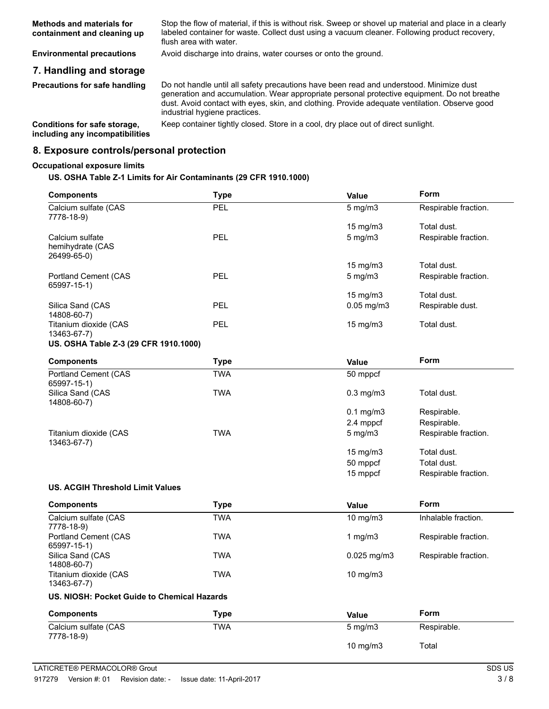| <b>Methods and materials for</b> | Stop the flow of material, if this is without risk. Sweep or shovel up material and place in a clearly |
|----------------------------------|--------------------------------------------------------------------------------------------------------|
| containment and cleaning up      | labeled container for waste. Collect dust using a vacuum cleaner. Following product recovery,          |
|                                  | flush area with water.                                                                                 |

**Environmental precautions** Avoid discharge into drains, water courses or onto the ground.

#### **7. Handling and storage**

**Precautions for safe handling**

Do not handle until all safety precautions have been read and understood. Minimize dust generation and accumulation. Wear appropriate personal protective equipment. Do not breathe dust. Avoid contact with eyes, skin, and clothing. Provide adequate ventilation. Observe good industrial hygiene practices.

**including any incompatibilities**

**Conditions for safe storage,** Keep container tightly closed. Store in a cool, dry place out of direct sunlight.

#### **8. Exposure controls/personal protection**

#### **Occupational exposure limits**

#### **US. OSHA Table Z-1 Limits for Air Contaminants (29 CFR 1910.1000)**

| <b>Components</b>                                  | <b>Type</b> | Value             | Form                 |
|----------------------------------------------------|-------------|-------------------|----------------------|
| Calcium sulfate (CAS<br>7778-18-9)                 | PEL         | $5$ mg/m $3$      | Respirable fraction. |
|                                                    |             | 15 mg/m3          | Total dust.          |
| Calcium sulfate<br>hemihydrate (CAS<br>26499-65-0) | <b>PEL</b>  | 5 mg/m3           | Respirable fraction. |
|                                                    |             | 15 mg/m3          | Total dust.          |
| <b>Portland Cement (CAS</b><br>65997-15-1)         | <b>PEL</b>  | $5$ mg/m $3$      | Respirable fraction. |
|                                                    |             | 15 mg/m3          | Total dust.          |
| Silica Sand (CAS<br>14808-60-7)                    | PEL         | $0.05$ mg/m $3$   | Respirable dust.     |
| Titanium dioxide (CAS<br>13463-67-7)               | <b>PEL</b>  | $15 \text{ mg/m}$ | Total dust.          |
| US. OSHA Table Z-3 (29 CFR 1910.1000)              |             |                   |                      |
| <b>Components</b>                                  | <b>Type</b> | <b>Value</b>      | Form                 |
| <b>Portland Cement (CAS</b><br>65997-15-1)         | <b>TWA</b>  | 50 mppcf          |                      |
| Silica Sand (CAS<br>14808-60-7)                    | <b>TWA</b>  | $0.3$ mg/m $3$    | Total dust.          |
|                                                    |             | $0.1$ mg/m $3$    | Respirable.          |
|                                                    |             | 2.4 mppcf         | Respirable.          |
| Titanium dioxide (CAS<br>13463-67-7)               | <b>TWA</b>  | 5 mg/m3           | Respirable fraction. |
|                                                    |             | 15 mg/m3          | Total dust.          |
|                                                    |             | 50 mppcf          | Total dust.          |
|                                                    |             | 15 mppcf          | Respirable fraction. |
| <b>US. ACGIH Threshold Limit Values</b>            |             |                   |                      |
| <b>Components</b>                                  | <b>Type</b> | Value             | Form                 |
| Calcium sulfate (CAS<br>7778-18-9)                 | <b>TWA</b>  | 10 $mg/m3$        | Inhalable fraction.  |
| <b>Portland Cement (CAS</b><br>65997-15-1)         | <b>TWA</b>  | 1 $mg/m3$         | Respirable fraction. |
| Silica Sand (CAS<br>14808-60-7)                    | <b>TWA</b>  | 0.025 mg/m3       | Respirable fraction. |
| Titanium dioxide (CAS<br>13463-67-7)               | <b>TWA</b>  | 10 mg/m3          |                      |
| US. NIOSH: Pocket Guide to Chemical Hazards        |             |                   |                      |
| <b>Components</b>                                  | <b>Type</b> | Value             | Form                 |
| Calcium sulfate (CAS<br>7778-18-9)                 | <b>TWA</b>  | 5 mg/m3           | Respirable.          |
|                                                    |             | 10 mg/m3          | Total                |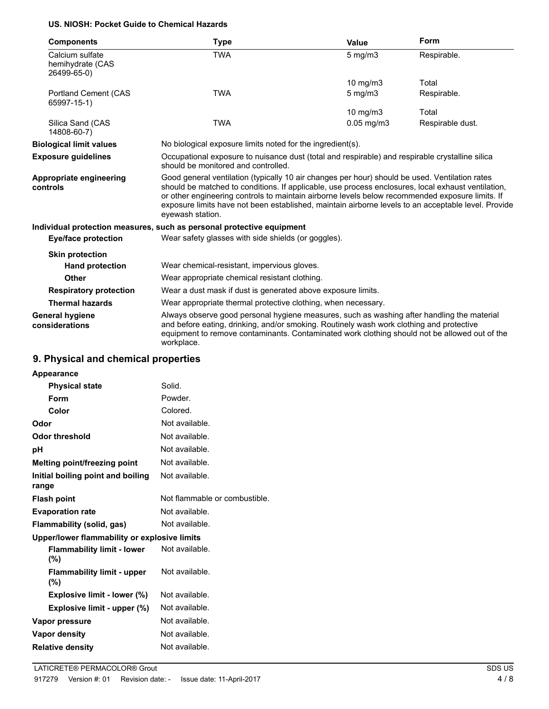#### **US. NIOSH: Pocket Guide to Chemical Hazards**

| <b>Components</b>                                  | Type                                                                                                                                                                                                                                                                                                                                                                                                                               | Value                                                         | Form             |
|----------------------------------------------------|------------------------------------------------------------------------------------------------------------------------------------------------------------------------------------------------------------------------------------------------------------------------------------------------------------------------------------------------------------------------------------------------------------------------------------|---------------------------------------------------------------|------------------|
| Calcium sulfate<br>hemihydrate (CAS<br>26499-65-0) | <b>TWA</b>                                                                                                                                                                                                                                                                                                                                                                                                                         | $5$ mg/m $3$                                                  | Respirable.      |
|                                                    |                                                                                                                                                                                                                                                                                                                                                                                                                                    | 10 $mg/m3$                                                    | Total            |
| Portland Cement (CAS<br>65997-15-1)                | <b>TWA</b>                                                                                                                                                                                                                                                                                                                                                                                                                         | $5 \text{ mg/m}$                                              | Respirable.      |
|                                                    |                                                                                                                                                                                                                                                                                                                                                                                                                                    | 10 $mg/m3$                                                    | Total            |
| Silica Sand (CAS<br>14808-60-7)                    | <b>TWA</b>                                                                                                                                                                                                                                                                                                                                                                                                                         | $0.05$ mg/m $3$                                               | Respirable dust. |
| <b>Biological limit values</b>                     | No biological exposure limits noted for the ingredient(s).                                                                                                                                                                                                                                                                                                                                                                         |                                                               |                  |
| <b>Exposure quidelines</b>                         | Occupational exposure to nuisance dust (total and respirable) and respirable crystalline silica<br>should be monitored and controlled.                                                                                                                                                                                                                                                                                             |                                                               |                  |
| Appropriate engineering<br>controls                | Good general ventilation (typically 10 air changes per hour) should be used. Ventilation rates<br>should be matched to conditions. If applicable, use process enclosures, local exhaust ventilation,<br>or other engineering controls to maintain airborne levels below recommended exposure limits. If<br>exposure limits have not been established, maintain airborne levels to an acceptable level. Provide<br>eyewash station. |                                                               |                  |
|                                                    | Individual protection measures, such as personal protective equipment                                                                                                                                                                                                                                                                                                                                                              |                                                               |                  |
| Eye/face protection                                | Wear safety glasses with side shields (or goggles).                                                                                                                                                                                                                                                                                                                                                                                |                                                               |                  |
| <b>Skin protection</b>                             |                                                                                                                                                                                                                                                                                                                                                                                                                                    |                                                               |                  |
| <b>Hand protection</b>                             | Wear chemical-resistant, impervious gloves.                                                                                                                                                                                                                                                                                                                                                                                        |                                                               |                  |
| <b>Other</b>                                       | Wear appropriate chemical resistant clothing.                                                                                                                                                                                                                                                                                                                                                                                      |                                                               |                  |
| <b>Respiratory protection</b>                      |                                                                                                                                                                                                                                                                                                                                                                                                                                    | Wear a dust mask if dust is generated above exposure limits.  |                  |
| <b>Thermal hazards</b>                             |                                                                                                                                                                                                                                                                                                                                                                                                                                    | Wear appropriate thermal protective clothing, when necessary. |                  |
| General hygiene<br>considerations                  | Always observe good personal hygiene measures, such as washing after handling the material<br>and before eating, drinking, and/or smoking. Routinely wash work clothing and protective<br>equipment to remove contaminants. Contaminated work clothing should not be allowed out of the<br>workplace.                                                                                                                              |                                                               |                  |

# **9. Physical and chemical properties**

| <b>Appearance</b>                            |                               |
|----------------------------------------------|-------------------------------|
| <b>Physical state</b>                        | Solid.                        |
| Form                                         | Powder.                       |
| Color                                        | Colored.                      |
| Odor                                         | Not available.                |
| <b>Odor threshold</b>                        | Not available.                |
| рH                                           | Not available.                |
| Melting point/freezing point                 | Not available.                |
| Initial boiling point and boiling<br>range   | Not available.                |
| <b>Flash point</b>                           | Not flammable or combustible. |
| <b>Evaporation rate</b>                      | Not available.                |
| Flammability (solid, gas)                    | Not available.                |
| Upper/lower flammability or explosive limits |                               |
| <b>Flammability limit - lower</b><br>(%)     | Not available.                |
| <b>Flammability limit - upper</b><br>(%)     | Not available.                |
| Explosive limit - lower (%)                  | Not available.                |
| Explosive limit - upper (%)                  | Not available.                |
| Vapor pressure                               | Not available.                |
| Vapor density                                | Not available.                |
| <b>Relative density</b>                      | Not available.                |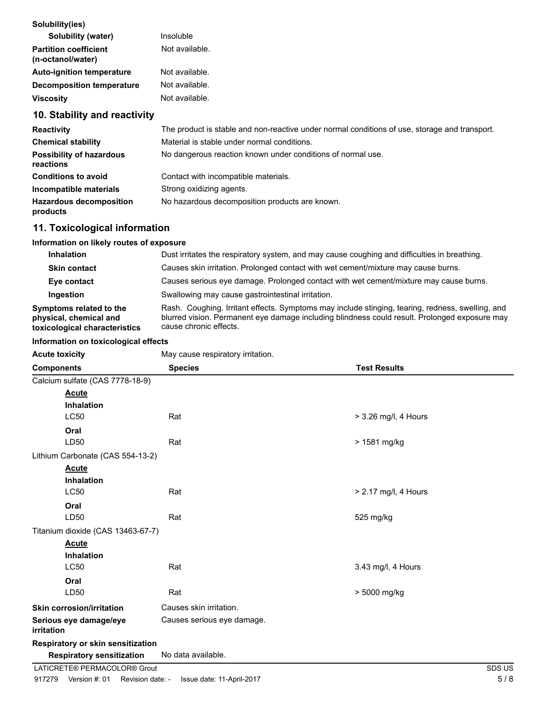| Insoluble      |
|----------------|
| Not available. |
| Not available. |
| Not available. |
| Not available. |
|                |

# **10. Stability and reactivity**

| <b>Reactivity</b>                            | The product is stable and non-reactive under normal conditions of use, storage and transport. |
|----------------------------------------------|-----------------------------------------------------------------------------------------------|
| <b>Chemical stability</b>                    | Material is stable under normal conditions.                                                   |
| <b>Possibility of hazardous</b><br>reactions | No dangerous reaction known under conditions of normal use.                                   |
| <b>Conditions to avoid</b>                   | Contact with incompatible materials.                                                          |
| Incompatible materials                       | Strong oxidizing agents.                                                                      |
| <b>Hazardous decomposition</b><br>products   | No hazardous decomposition products are known.                                                |

# **11. Toxicological information**

## **Information on likely routes of exposure**

| <b>Inhalation</b>                                                                  | Dust irritates the respiratory system, and may cause coughing and difficulties in breathing.                                                                                                                                |
|------------------------------------------------------------------------------------|-----------------------------------------------------------------------------------------------------------------------------------------------------------------------------------------------------------------------------|
| <b>Skin contact</b>                                                                | Causes skin irritation. Prolonged contact with wet cement/mixture may cause burns.                                                                                                                                          |
| Eye contact                                                                        | Causes serious eye damage. Prolonged contact with wet cement/mixture may cause burns.                                                                                                                                       |
| Ingestion                                                                          | Swallowing may cause gastrointestinal irritation.                                                                                                                                                                           |
| Symptoms related to the<br>physical, chemical and<br>toxicological characteristics | Rash. Coughing. Irritant effects. Symptoms may include stinging, tearing, redness, swelling, and<br>blurred vision. Permanent eye damage including blindness could result. Prolonged exposure may<br>cause chronic effects. |

#### **Information on toxicological effects**

| <b>Acute toxicity</b>                | May cause respiratory irritation. |                        |
|--------------------------------------|-----------------------------------|------------------------|
| <b>Components</b>                    | <b>Species</b>                    | <b>Test Results</b>    |
| Calcium sulfate (CAS 7778-18-9)      |                                   |                        |
| <b>Acute</b>                         |                                   |                        |
| <b>Inhalation</b>                    |                                   |                        |
| <b>LC50</b>                          | Rat                               | $>$ 3.26 mg/l, 4 Hours |
| Oral                                 |                                   |                        |
| LD50                                 | Rat                               | > 1581 mg/kg           |
| Lithium Carbonate (CAS 554-13-2)     |                                   |                        |
| <b>Acute</b>                         |                                   |                        |
| <b>Inhalation</b>                    |                                   |                        |
| <b>LC50</b>                          | Rat                               | > 2.17 mg/l, 4 Hours   |
| Oral                                 |                                   |                        |
| LD50                                 | Rat                               | 525 mg/kg              |
| Titanium dioxide (CAS 13463-67-7)    |                                   |                        |
| <b>Acute</b>                         |                                   |                        |
| <b>Inhalation</b>                    |                                   |                        |
| LC50                                 | Rat                               | 3.43 mg/l, 4 Hours     |
| Oral                                 |                                   |                        |
| LD50                                 | Rat                               | > 5000 mg/kg           |
| <b>Skin corrosion/irritation</b>     | Causes skin irritation.           |                        |
| Serious eye damage/eye<br>irritation | Causes serious eye damage.        |                        |
| Respiratory or skin sensitization    |                                   |                        |
| <b>Respiratory sensitization</b>     | No data available.                |                        |
| LATICRETE® PERMACOLOR® Grout         |                                   | SDS US                 |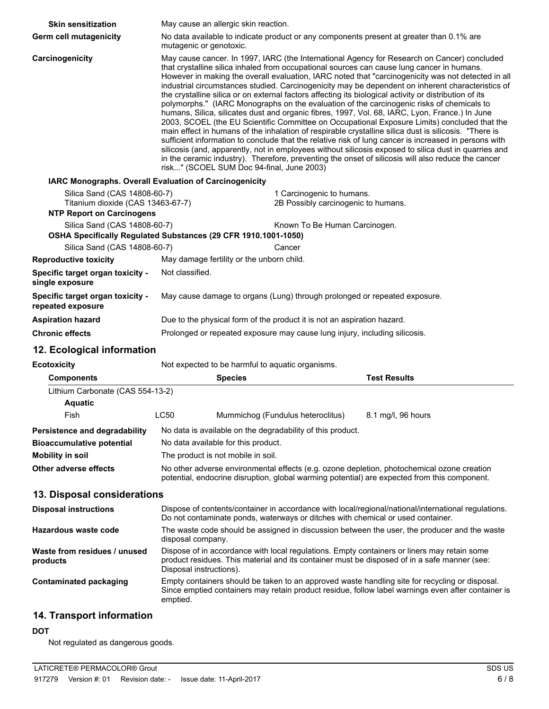| <b>Skin sensitization</b>                              | May cause an allergic skin reaction.                                                                                                                                                                                                                                                                                                                                                                                                                                                                                                                                                                                                                                                                                                                                                                                                                                                                                                                                                                                                                                                                                                                                                                                                                                                        |                                     |                     |  |
|--------------------------------------------------------|---------------------------------------------------------------------------------------------------------------------------------------------------------------------------------------------------------------------------------------------------------------------------------------------------------------------------------------------------------------------------------------------------------------------------------------------------------------------------------------------------------------------------------------------------------------------------------------------------------------------------------------------------------------------------------------------------------------------------------------------------------------------------------------------------------------------------------------------------------------------------------------------------------------------------------------------------------------------------------------------------------------------------------------------------------------------------------------------------------------------------------------------------------------------------------------------------------------------------------------------------------------------------------------------|-------------------------------------|---------------------|--|
| <b>Germ cell mutagenicity</b>                          | No data available to indicate product or any components present at greater than 0.1% are<br>mutagenic or genotoxic.                                                                                                                                                                                                                                                                                                                                                                                                                                                                                                                                                                                                                                                                                                                                                                                                                                                                                                                                                                                                                                                                                                                                                                         |                                     |                     |  |
| Carcinogenicity                                        | May cause cancer. In 1997, IARC (the International Agency for Research on Cancer) concluded<br>that crystalline silica inhaled from occupational sources can cause lung cancer in humans.<br>However in making the overall evaluation, IARC noted that "carcinogenicity was not detected in all<br>industrial circumstances studied. Carcinogenicity may be dependent on inherent characteristics of<br>the crystalline silica or on external factors affecting its biological activity or distribution of its<br>polymorphs." (IARC Monographs on the evaluation of the carcinogenic risks of chemicals to<br>humans, Silica, silicates dust and organic fibres, 1997, Vol. 68, IARC, Lyon, France.) In June<br>2003, SCOEL (the EU Scientific Committee on Occupational Exposure Limits) concluded that the<br>main effect in humans of the inhalation of respirable crystalline silica dust is silicosis. "There is<br>sufficient information to conclude that the relative risk of lung cancer is increased in persons with<br>silicosis (and, apparently, not in employees without silicosis exposed to silica dust in quarries and<br>in the ceramic industry). Therefore, preventing the onset of silicosis will also reduce the cancer<br>risk" (SCOEL SUM Doc 94-final, June 2003) |                                     |                     |  |
| IARC Monographs. Overall Evaluation of Carcinogenicity |                                                                                                                                                                                                                                                                                                                                                                                                                                                                                                                                                                                                                                                                                                                                                                                                                                                                                                                                                                                                                                                                                                                                                                                                                                                                                             |                                     |                     |  |
| Silica Sand (CAS 14808-60-7)                           |                                                                                                                                                                                                                                                                                                                                                                                                                                                                                                                                                                                                                                                                                                                                                                                                                                                                                                                                                                                                                                                                                                                                                                                                                                                                                             | 1 Carcinogenic to humans.           |                     |  |
| Titanium dioxide (CAS 13463-67-7)                      |                                                                                                                                                                                                                                                                                                                                                                                                                                                                                                                                                                                                                                                                                                                                                                                                                                                                                                                                                                                                                                                                                                                                                                                                                                                                                             | 2B Possibly carcinogenic to humans. |                     |  |
| <b>NTP Report on Carcinogens</b>                       |                                                                                                                                                                                                                                                                                                                                                                                                                                                                                                                                                                                                                                                                                                                                                                                                                                                                                                                                                                                                                                                                                                                                                                                                                                                                                             |                                     |                     |  |
| Silica Sand (CAS 14808-60-7)                           | OSHA Specifically Regulated Substances (29 CFR 1910.1001-1050)                                                                                                                                                                                                                                                                                                                                                                                                                                                                                                                                                                                                                                                                                                                                                                                                                                                                                                                                                                                                                                                                                                                                                                                                                              | Known To Be Human Carcinogen.       |                     |  |
| Silica Sand (CAS 14808-60-7)                           |                                                                                                                                                                                                                                                                                                                                                                                                                                                                                                                                                                                                                                                                                                                                                                                                                                                                                                                                                                                                                                                                                                                                                                                                                                                                                             | Cancer                              |                     |  |
| <b>Reproductive toxicity</b>                           | May damage fertility or the unborn child.                                                                                                                                                                                                                                                                                                                                                                                                                                                                                                                                                                                                                                                                                                                                                                                                                                                                                                                                                                                                                                                                                                                                                                                                                                                   |                                     |                     |  |
| Specific target organ toxicity -<br>single exposure    | Not classified.                                                                                                                                                                                                                                                                                                                                                                                                                                                                                                                                                                                                                                                                                                                                                                                                                                                                                                                                                                                                                                                                                                                                                                                                                                                                             |                                     |                     |  |
| Specific target organ toxicity -<br>repeated exposure  | May cause damage to organs (Lung) through prolonged or repeated exposure.                                                                                                                                                                                                                                                                                                                                                                                                                                                                                                                                                                                                                                                                                                                                                                                                                                                                                                                                                                                                                                                                                                                                                                                                                   |                                     |                     |  |
| <b>Aspiration hazard</b>                               | Due to the physical form of the product it is not an aspiration hazard.                                                                                                                                                                                                                                                                                                                                                                                                                                                                                                                                                                                                                                                                                                                                                                                                                                                                                                                                                                                                                                                                                                                                                                                                                     |                                     |                     |  |
| <b>Chronic effects</b>                                 | Prolonged or repeated exposure may cause lung injury, including silicosis.                                                                                                                                                                                                                                                                                                                                                                                                                                                                                                                                                                                                                                                                                                                                                                                                                                                                                                                                                                                                                                                                                                                                                                                                                  |                                     |                     |  |
| 12. Ecological information                             |                                                                                                                                                                                                                                                                                                                                                                                                                                                                                                                                                                                                                                                                                                                                                                                                                                                                                                                                                                                                                                                                                                                                                                                                                                                                                             |                                     |                     |  |
| <b>Ecotoxicity</b>                                     | Not expected to be harmful to aquatic organisms.                                                                                                                                                                                                                                                                                                                                                                                                                                                                                                                                                                                                                                                                                                                                                                                                                                                                                                                                                                                                                                                                                                                                                                                                                                            |                                     |                     |  |
| <b>Components</b>                                      | <b>Species</b>                                                                                                                                                                                                                                                                                                                                                                                                                                                                                                                                                                                                                                                                                                                                                                                                                                                                                                                                                                                                                                                                                                                                                                                                                                                                              |                                     | <b>Test Results</b> |  |
| Lithium Carbonate (CAS 554-13-2)                       |                                                                                                                                                                                                                                                                                                                                                                                                                                                                                                                                                                                                                                                                                                                                                                                                                                                                                                                                                                                                                                                                                                                                                                                                                                                                                             |                                     |                     |  |
| <b>Aquatic</b>                                         |                                                                                                                                                                                                                                                                                                                                                                                                                                                                                                                                                                                                                                                                                                                                                                                                                                                                                                                                                                                                                                                                                                                                                                                                                                                                                             |                                     |                     |  |
| Fish                                                   | <b>LC50</b>                                                                                                                                                                                                                                                                                                                                                                                                                                                                                                                                                                                                                                                                                                                                                                                                                                                                                                                                                                                                                                                                                                                                                                                                                                                                                 | Mummichog (Fundulus heteroclitus)   | 8.1 mg/l, 96 hours  |  |
| Persistence and degradability                          | No data is available on the degradability of this product.                                                                                                                                                                                                                                                                                                                                                                                                                                                                                                                                                                                                                                                                                                                                                                                                                                                                                                                                                                                                                                                                                                                                                                                                                                  |                                     |                     |  |
| <b>Bioaccumulative potential</b>                       | No data available for this product.                                                                                                                                                                                                                                                                                                                                                                                                                                                                                                                                                                                                                                                                                                                                                                                                                                                                                                                                                                                                                                                                                                                                                                                                                                                         |                                     |                     |  |
| <b>Mobility in soil</b>                                | The product is not mobile in soil.                                                                                                                                                                                                                                                                                                                                                                                                                                                                                                                                                                                                                                                                                                                                                                                                                                                                                                                                                                                                                                                                                                                                                                                                                                                          |                                     |                     |  |
| Other adverse effects                                  | No other adverse environmental effects (e.g. ozone depletion, photochemical ozone creation<br>potential, endocrine disruption, global warming potential) are expected from this component.                                                                                                                                                                                                                                                                                                                                                                                                                                                                                                                                                                                                                                                                                                                                                                                                                                                                                                                                                                                                                                                                                                  |                                     |                     |  |
| 13. Disposal considerations                            |                                                                                                                                                                                                                                                                                                                                                                                                                                                                                                                                                                                                                                                                                                                                                                                                                                                                                                                                                                                                                                                                                                                                                                                                                                                                                             |                                     |                     |  |
| <b>Disposal instructions</b>                           | Dispose of contents/container in accordance with local/regional/national/international regulations.<br>Do not contaminate ponds, waterways or ditches with chemical or used container.                                                                                                                                                                                                                                                                                                                                                                                                                                                                                                                                                                                                                                                                                                                                                                                                                                                                                                                                                                                                                                                                                                      |                                     |                     |  |
| Hazardous waste code                                   | The waste code should be assigned in discussion between the user, the producer and the waste<br>disposal company.                                                                                                                                                                                                                                                                                                                                                                                                                                                                                                                                                                                                                                                                                                                                                                                                                                                                                                                                                                                                                                                                                                                                                                           |                                     |                     |  |
| Waste from residues / unused<br>products               | Dispose of in accordance with local regulations. Empty containers or liners may retain some<br>product residues. This material and its container must be disposed of in a safe manner (see:                                                                                                                                                                                                                                                                                                                                                                                                                                                                                                                                                                                                                                                                                                                                                                                                                                                                                                                                                                                                                                                                                                 |                                     |                     |  |

Disposal instructions). Empty containers should be taken to an approved waste handling site for recycling or disposal. Since emptied containers may retain product residue, follow label warnings even after container is emptied. **Contaminated packaging**

## **14. Transport information**

#### **DOT**

Not regulated as dangerous goods.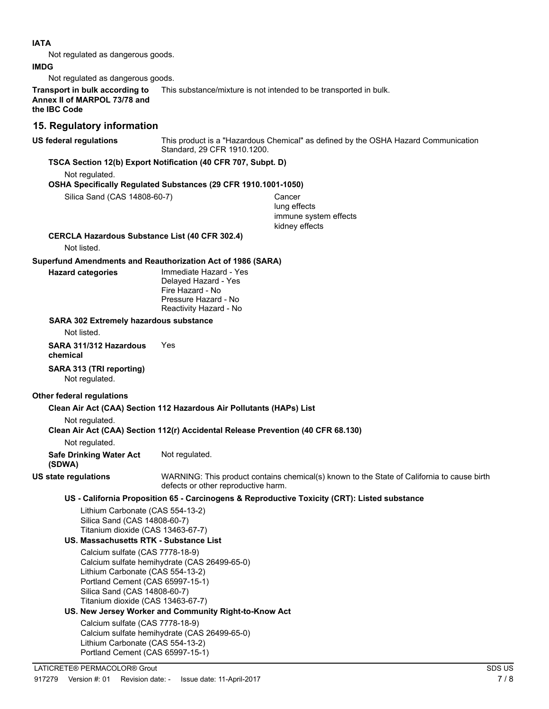#### **IATA**

Not regulated as dangerous goods.

#### **IMDG**

Not regulated as dangerous goods.

**Transport in bulk according to** This substance/mixture is not intended to be transported in bulk. **Annex II of MARPOL 73/78 and the IBC Code**

### **15. Regulatory information**

**US federal regulations**

This product is a "Hazardous Chemical" as defined by the OSHA Hazard Communication Standard, 29 CFR 1910.1200.

#### **TSCA Section 12(b) Export Notification (40 CFR 707, Subpt. D)**

Not regulated.

#### **OSHA Specifically Regulated Substances (29 CFR 1910.1001-1050)**

Silica Sand (CAS 14808-60-7) Cancer lung effects immune system effects kidney effects

**CERCLA Hazardous Substance List (40 CFR 302.4)**

Not listed.

#### **Superfund Amendments and Reauthorization Act of 1986 (SARA)**

**Hazard categories**

Immediate Hazard - Yes Delayed Hazard - Yes Fire Hazard - No Pressure Hazard - No Reactivity Hazard - No

#### **SARA 302 Extremely hazardous substance**

Not listed.

**SARA 311/312 Hazardous** Yes **chemical**

**SARA 313 (TRI reporting)** Not regulated.

#### **Other federal regulations**

**Clean Air Act (CAA) Section 112 Hazardous Air Pollutants (HAPs) List**

Not regulated.

#### **Clean Air Act (CAA) Section 112(r) Accidental Release Prevention (40 CFR 68.130)**

Not regulated.

**Safe Drinking Water Act** Not regulated. **(SDWA)**

**US state regulations**

WARNING: This product contains chemical(s) known to the State of California to cause birth defects or other reproductive harm.

#### **US - California Proposition 65 - Carcinogens & Reproductive Toxicity (CRT): Listed substance**

Lithium Carbonate (CAS 554-13-2) Silica Sand (CAS 14808-60-7) Titanium dioxide (CAS 13463-67-7)

#### **US. Massachusetts RTK - Substance List**

Calcium sulfate (CAS 7778-18-9) Calcium sulfate hemihydrate (CAS 26499-65-0) Lithium Carbonate (CAS 554-13-2) Portland Cement (CAS 65997-15-1) Silica Sand (CAS 14808-60-7) Titanium dioxide (CAS 13463-67-7)

#### **US. New Jersey Worker and Community Right-to-Know Act**

Calcium sulfate (CAS 7778-18-9) Calcium sulfate hemihydrate (CAS 26499-65-0) Lithium Carbonate (CAS 554-13-2) Portland Cement (CAS 65997-15-1)